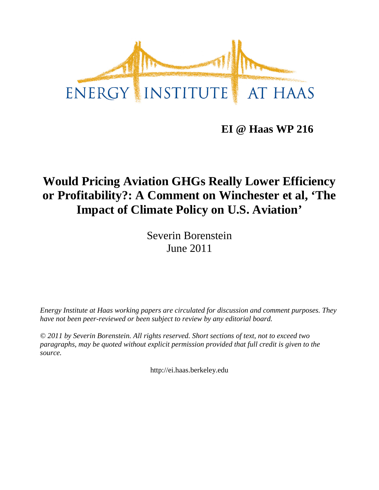

**EI @ Haas WP 216**

# **Would Pricing Aviation GHGs Really Lower Efficiency or Profitability?: A Comment on Winchester et al, 'The Impact of Climate Policy on U.S. Aviation'**

Severin Borenstein June 2011

*Energy Institute at Haas working papers are circulated for discussion and comment purposes. They have not been peer-reviewed or been subject to review by any editorial board.*

*© 2011 by Severin Borenstein. All rights reserved. Short sections of text, not to exceed two paragraphs, may be quoted without explicit permission provided that full credit is given to the source.*

http://ei.haas.berkeley.edu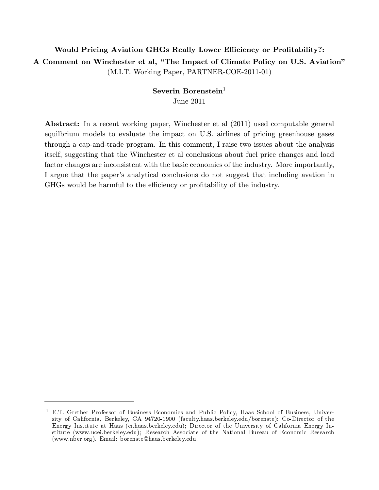## Would Pricing Aviation GHGs Really Lower Efficiency or Profitability?: A Comment on Winchester et al, "The Impact of Climate Policy on U.S. Aviation" (M.I.T. Working Paper, PARTNER-COE-2011-01)

### Severin Borenstein $1$ June 2011

Abstract: In a recent working paper, Winchester et al (2011) used computable general equilbrium models to evaluate the impact on U.S. airlines of pricing greenhouse gases through a cap-and-trade program. In this comment, I raise two issues about the analysis itself, suggesting that the Winchester et al conclusions about fuel price changes and load factor changes are inconsistent with the basic economics of the industry. More importantly, I argue that the paper's analytical conclusions do not suggest that including avation in GHGs would be harmful to the efficiency or profitability of the industry.

<sup>&</sup>lt;sup>1</sup> E.T. Grether Professor of Business Economics and Public Policy, Haas School of Business, University of California, Berkeley, CA 94720-1900 (faculty.haas.berkeley.edu/borenste); Co-Director of the Energy Institute at Haas (ei.haas.berkeley.edu); Director of the University of California Energy Institute (www.ucei.berkeley.edu); Research Associate of the National Bureau of Economic Research (www.nber.org). Email: borenste@haas.berkeley.edu.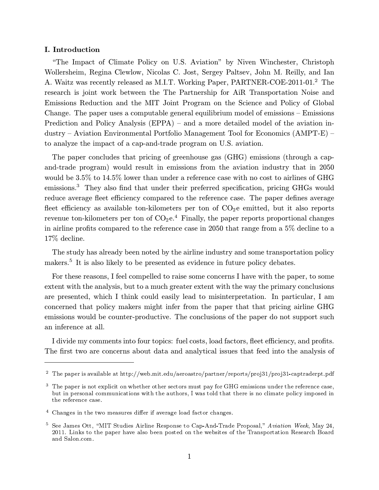#### I. Introduction

"The Impact of Climate Policy on U.S. Aviation" by Niven Winchester, Christoph Wollersheim, Regina Clewlow, Nicolas C. Jost, Sergey Paltsev, John M. Reilly, and Ian A. Waitz was recently released as M.I.T. Working Paper, PARTNER-COE-2011-01.<sup>2</sup> The research is joint work between the The Partnership for AiR Transportation Noise and Emissions Reduction and the MIT Joint Program on the Science and Policy of Global Change. The paper uses a computable general equilibrium model of emissions — Emissions Prediction and Policy Analysis (EPPA) – and a more detailed model of the aviation industry — Aviation Environmental Portfolio Management Tool for Economics (AMPT-E) to analyze the impact of a cap-and-trade program on U.S. aviation.

The paper concludes that pricing of greenhouse gas (GHG) emissions (through a capand-trade program) would result in emissions from the aviation industry that in 2050 would be 3.5% to 14.5% lower than under a reference case with no cost to airlines of GHG emissions.<sup>3</sup> They also find that under their preferred specification, pricing GHGs would reduce average fleet efficiency compared to the reference case. The paper defines average fleet efficiency as available ton-kilometers per ton of  $CO<sub>2</sub>e$  emitted, but it also reports revenue ton-kilometers per ton of  $CO<sub>2</sub>e<sup>4</sup>$  Finally, the paper reports proportional changes in airline profits compared to the reference case in 2050 that range from a 5% decline to a 17% decline. **Example 10** Chine (Fig. 2) Chine and Trade Policy on U.S. Aviation" by Niven Windewser, Christophe Chine Mondaton Response to Spinal Consider a Spinal Consider a Spinal Consider a Spinal Chine and Chine and Chine and Chi

The study has already been noted by the airline industry and some transportation policy makers.<sup>5</sup> It is also likely to be presented as evidence in future policy debates.

For these reasons, I feel compelled to raise some concerns I have with the paper, to some extent with the analysis, but to a much greater extent with the way the primary conclusions are presented, which I think could easily lead to misinterpretation. In particular, I am concerned that policy makers might infer from the paper that that pricing airline GHG emissions would be counter-productive. The conclusions of the paper do not support such an inference at all.

I divide my comments into four topics: fuel costs, load factors, fleet efficiency, and profits. The first two are concerns about data and analytical issues that feed into the analysis of

<sup>2</sup> The paper is available at http://web.mit.edu/aeroastro/partner/reports/proj31/proj31-captraderpt.pdf

 $3\text{ }$  The paper is not explicit on whether other sectors must pay for GHG emissions under the reference case, but in personal communications with the authors, I was told that there is no climate policy imposed in the reference case.

 $4$  Changes in the two measures differ if average load factor changes.

<sup>&</sup>lt;sup>5</sup> See James Ott, "MIT Studies Airline Response to Cap-And-Trade Proposal," Aviation Week, May 24, 2011. Links to the paper have also been posted on the websites of the Transportation Research Board and Salon.com.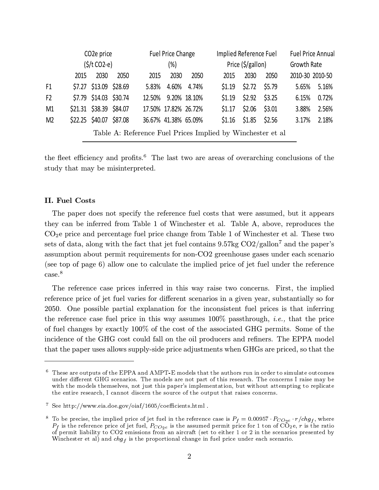|                                                            | CO <sub>2</sub> e price<br>$(\frac{1}{2})t CO2-e)$ |                         |      | <b>Fuel Price Change</b><br>(%) |                      |              |        | Implied Reference Fuel<br>Price (\$/gallon) |        |                 | <b>Fuel Price Annual</b><br>Growth Rate |  |
|------------------------------------------------------------|----------------------------------------------------|-------------------------|------|---------------------------------|----------------------|--------------|--------|---------------------------------------------|--------|-----------------|-----------------------------------------|--|
|                                                            |                                                    |                         |      |                                 |                      |              |        |                                             |        |                 |                                         |  |
|                                                            | 2015                                               | 2030                    | 2050 | 2015                            | 2030                 | 2050         | 2015   | 2030                                        | 2050   | 2010-30 2010-50 |                                         |  |
| F1                                                         |                                                    | \$7.27 \$13.09 \$28.69  |      | 5.83%                           | 4.60%                | 4.74%        | \$1.19 | \$2.72                                      | \$5.79 | 5.65%           | 5.16%                                   |  |
| F <sub>2</sub>                                             |                                                    | \$7.79 \$14.03 \$30.74  |      | 12.50%                          |                      | 9.20% 18.10% |        | $$1.19$ $$2.92$                             | \$3.25 | 6.15%           | 0.72%                                   |  |
| M1                                                         |                                                    | \$21.31 \$38.39 \$84.07 |      |                                 | 17.50% 17.82% 26.72% |              | \$1.17 | \$2.06                                      | \$3.01 | 3.88%           | 2.56%                                   |  |
| M <sub>2</sub>                                             |                                                    | \$22.25 \$40.07 \$87.08 |      |                                 | 36.67% 41.38% 65.09% |              |        | $$1.16$ $$1.85$                             | \$2.56 | 3.17%           | 2.18%                                   |  |
| Table A: Reference Fuel Prices Implied by Winchester et al |                                                    |                         |      |                                 |                      |              |        |                                             |        |                 |                                         |  |

the fleet efficiency and profits.<sup>6</sup> The last two are areas of overarching conclusions of the study that may be misinterpreted.

#### II. Fuel Costs

The paper does not specify the reference fuel costs that were assumed, but it appears they can be inferred from Table 1 of Winchester et al. Table A, above, reproduces the  $CO<sub>2</sub>e$  price and percentage fuel price change from Table 1 of Winchester et al. These two sets of data, along with the fact that jet fuel contains 9.57kg CO2/gallon<sup>7</sup> and the paper's assumption about permit requirements for non-CO2 greenhouse gases under each scenario (see top of page 6) allow one to calculate the implied price of jet fuel under the reference case.<sup>8</sup>

The reference case prices inferred in this way raise two concerns. First, the implied reference price of jet fuel varies for different scenarios in a given year, substantially so for 2050. One possible partial explanation for the inconsistent fuel prices is that inferring the reference case fuel price in this way assumes  $100\%$  passthrough, *i.e.*, that the price of fuel changes by exactly 100% of the cost of the associated GHG permits. Some of the incidence of the GHG cost could fall on the oil producers and refiners. The EPPA model that the paper uses allows supply-side price adjustments when GHGs are priced, so that the

 $^6\,$  These are outputs of the EPPA and AMPT-E models that the authors run in order to simulate outcomes under different GHG scenarios. The models are not part of this research. The concerns I raise may be with the models themselves, not just this paper's implementation, but without attempting to replicate the entire research, I cannot discern the source of the output that raises concerns.

<sup>7</sup> See http://www.eia.doe.gov/oiaf/1605/coefficients.html .

the entire research, I cannot discern the source of the output that raises concerns.<br>
<sup>7</sup> See http://www.eia.doe.gov/oiaf/1605/coefficients.html .<br>
<sup>8</sup> To be precise, the implied price of jet fuel in the reference case is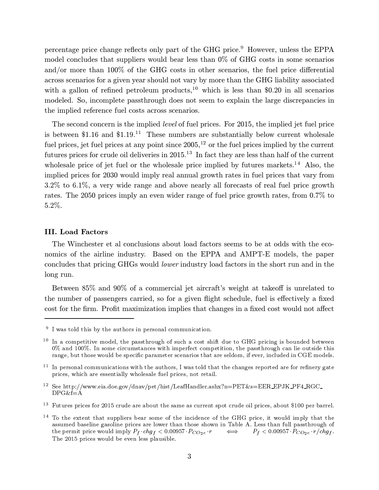percentage price change reflects only part of the GHG price.<sup>9</sup> However, unless the EPPA model concludes that suppliers would bear less than 0% of GHG costs in some scenarios and/or more than 100% of the GHG costs in other scenarios, the fuel price differential across scenarios for a given year should not vary by more than the GHG liability associated with a gallon of refined petroleum products,<sup>10</sup> which is less than \$0.20 in all scenarios modeled. So, incomplete passthrough does not seem to explain the large discrepancies in the implied reference fuel costs across scenarios.

The second concern is the implied level of fuel prices. For 2015, the implied jet fuel price is between  $$1.16$  and  $$1.19$ <sup>11</sup> These numbers are substantially below current wholesale fuel prices, jet fuel prices at any point since  $2005$ ,<sup>12</sup> or the fuel prices implied by the current futures prices for crude oil deliveries in 2015.<sup>13</sup> In fact they are less than half of the current wholesale price of jet fuel or the wholesale price implied by futures markets.<sup>14</sup> Also, the implied prices for 2030 would imply real annual growth rates in fuel prices that vary from 3.2% to 6.1%, a very wide range and above nearly all forecasts of real fuel price growth rates. The 2050 prices imply an even wider range of fuel price growth rates, from 0.7% to 5.2%.

#### III. Load Factors

The Winchester et al conclusions about load factors seems to be at odds with the economics of the airline industry. Based on the EPPA and AMPT-E models, the paper concludes that pricing GHGs would lower industry load factors in the short run and in the long run.

Between 85% and 90% of a commercial jet aircraft's weight at takeoff is unrelated to the number of passengers carried, so for a given flight schedule, fuel is effectively a fixed cost for the firm. Profit maximization implies that changes in a fixed cost would not affect

 $9\,$  I was told this by the authors in personal communication.

 $10$  In a competitive model, the passthrough of such a cost shift due to GHG pricing is bounded between 0% and 100%. In some circumstances with imperfect competition, the passthrough can lie outside this range, but those would be specific parameter scenarios that are seldom, if ever, included in CGE models.

 $11$  In personal communications with the authors, I was told that the changes reported are for refinery gate prices, which are essentially wholesale fuel prices, not retail.

<sup>&</sup>lt;sup>12</sup> See http://www.eia.doe.gov/dnav/pet/hist/LeafHandler.ashx?n=PET&s=EER\_EPJK\_PF4\_RGC\_ DPG&f=A

<sup>&</sup>lt;sup>13</sup> Futures prices for 2015 crude are about the same as current spot crude oil prices, about \$100 per barrel.

 $14$  To the extent that suppliers bear some of the incidence of the GHG price, it would imply that the assumed baseline gasoline prices are lower than those shown in Table A. Less than full passthrough of the permit price would imply  $P_f \cdot chg_f < 0.00957 \cdot P_{CO_2e} \cdot r$   $\qquad \Longleftrightarrow \qquad P_f < 0.00957 \cdot P_{CO_2e} \cdot r/chg_f.$ about the same as current spot crude oil prices, about \$100 per barrel.<br>ar some of the incidence of the GHG price, it would imply that the<br>are lower than those shown in Table A. Less than full passthrough of<br> $chg_f < 0.00957$ The 2015 prices would be even less plausible.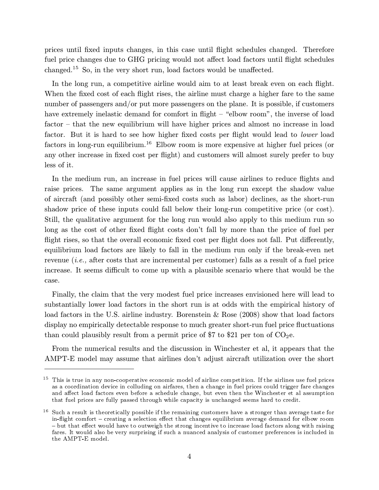prices until fixed inputs changes, in this case until flight schedules changed. Therefore fuel price changes due to GHG pricing would not affect load factors until flight schedules changed.<sup>15</sup> So, in the very short run, load factors would be unaffected.

In the long run, a competitive airline would aim to at least break even on each flight. When the fixed cost of each flight rises, the airline must charge a higher fare to the same number of passengers and/or put more passengers on the plane. It is possible, if customers have extremely inelastic demand for comfort in flight – "elbow room", the inverse of load factor — that the new equilibrium will have higher prices and almost no increase in load factor. But it is hard to see how higher fixed costs per flight would lead to lower load factors in long-run equilibrium.<sup>16</sup> Elbow room is more expensive at higher fuel prices (or any other increase in fixed cost per flight) and customers will almost surely prefer to buy less of it.

In the medium run, an increase in fuel prices will cause airlines to reduce flights and raise prices. The same argument applies as in the long run except the shadow value of aircraft (and possibly other semi-fixed costs such as labor) declines, as the short-run shadow price of these inputs could fall below their long-run competitive price (or cost). Still, the qualitative argument for the long run would also apply to this medium run so long as the cost of other fixed flight costs don't fall by more than the price of fuel per flight rises, so that the overall economic fixed cost per flight does not fall. Put differently, equilibrium load factors are likely to fall in the medium run only if the break-even net revenue (i.e., after costs that are incremental per customer) falls as a result of a fuel price increase. It seems difficult to come up with a plausible scenario where that would be the case.

Finally, the claim that the very modest fuel price increases envisioned here will lead to substantially lower load factors in the short run is at odds with the empirical history of load factors in the U.S. airline industry. Borenstein & Rose (2008) show that load factors display no empirically detectable response to much greater short-run fuel price fluctuations than could plausibly result from a permit price of \$7 to \$21 per ton of  $CO<sub>2</sub>e$ .

From the numerical results and the discussion in Winchester et al, it appears that the AMPT-E model may assume that airlines don't adjust aircraft utilization over the short

 $15$  This is true in any non-cooperative economic model of airline competition. If the airlines use fuel prices as a coordination device in colluding on airfares, then a change in fuel prices could trigger fare changes and affect load factors even before a schedule change, but even then the Winchester et al assumption that fuel prices are fully passed through while capacity is unchanged seems hard to credit.

 $16$  Such a result is theoretically possible if the remaining customers have a stronger than average taste for in-flight comfort — creating a selection effect that changes equilibrium average demand for elbow room — but that effect would have to outweigh the strong incentive to increase load factors along with raising fares. It would also be very surprising if such a nuanced analysis of customer preferences is included in the AMPT-E model.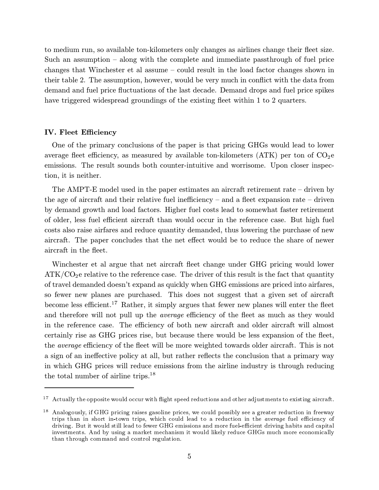to medium run, so available ton-kilometers only changes as airlines change their fleet size. Such an assumption — along with the complete and immediate passthrough of fuel price changes that Winchester et al assume — could result in the load factor changes shown in their table 2. The assumption, however, would be very much in conflict with the data from demand and fuel price fluctuations of the last decade. Demand drops and fuel price spikes have triggered widespread groundings of the existing fleet within 1 to 2 quarters.

#### IV. Fleet Efficiency

One of the primary conclusions of the paper is that pricing GHGs would lead to lower average fleet efficiency, as measured by available ton-kilometers  $(ATK)$  per ton of  $CO<sub>2</sub>e$ emissions. The result sounds both counter-intuitive and worrisome. Upon closer inspection, it is neither.

The AMPT-E model used in the paper estimates an aircraft retirement rate — driven by the age of aircraft and their relative fuel inefficiency  $-$  and a fleet expansion rate  $-$  driven by demand growth and load factors. Higher fuel costs lead to somewhat faster retirement of older, less fuel efficient aircraft than would occur in the reference case. But high fuel costs also raise airfares and reduce quantity demanded, thus lowering the purchase of new aircraft. The paper concludes that the net effect would be to reduce the share of newer aircraft in the fleet.

Winchester et al argue that net aircraft fleet change under GHG pricing would lower  $ATK/CO<sub>2</sub>e$  relative to the reference case. The driver of this result is the fact that quantity of travel demanded doesn't expand as quickly when GHG emissions are priced into airfares, so fewer new planes are purchased. This does not suggest that a given set of aircraft become less efficient.<sup>17</sup> Rather, it simply argues that fewer new planes will enter the fleet and therefore will not pull up the *average* efficiency of the fleet as much as they would in the reference case. The efficiency of both new aircraft and older aircraft will almost certainly rise as GHG prices rise, but because there would be less expansion of the fleet, the average efficiency of the fleet will be more weighted towards older aircraft. This is not a sign of an ineffective policy at all, but rather reflects the conclusion that a primary way in which GHG prices will reduce emissions from the airline industry is through reducing the total number of airline trips.<sup>18</sup>

<sup>&</sup>lt;sup>17</sup> Actually the opposite would occur with flight speed reductions and other adjustments to existing aircraft.

<sup>&</sup>lt;sup>18</sup> Analogously, if GHG pricing raises gasoline prices, we could possibly see a greater reduction in freeway trips than in short in-town trips, which could lead to a reduction in the average fuel efficiency of driving. But it would still lead to fewer GHG emissions and more fuel-efficient driving habits and capital investments. And by using a market mechanism it would likely reduce GHGs much more economically than through command and control regulation.